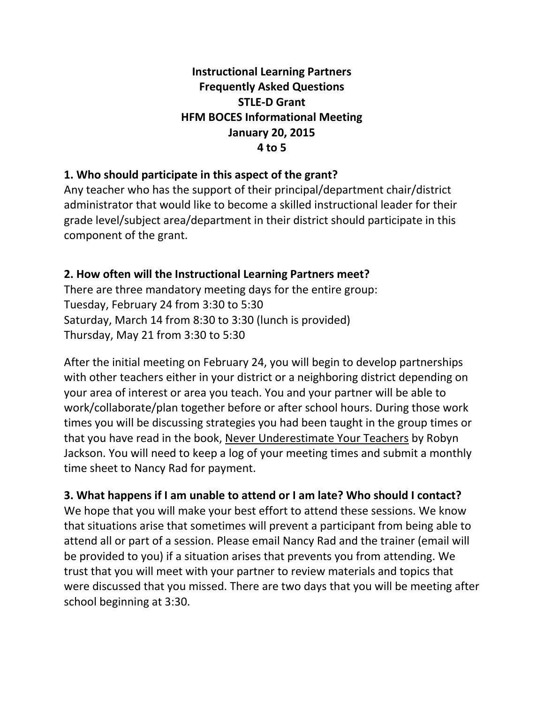# **Instructional Learning Partners Frequently Asked Questions STLE-D Grant HFM BOCES Informational Meeting January 20, 2015 4 to 5**

#### **1. Who should participate in this aspect of the grant?**

Any teacher who has the support of their principal/department chair/district administrator that would like to become a skilled instructional leader for their grade level/subject area/department in their district should participate in this component of the grant.

#### **2. How often will the Instructional Learning Partners meet?**

There are three mandatory meeting days for the entire group: Tuesday, February 24 from 3:30 to 5:30 Saturday, March 14 from 8:30 to 3:30 (lunch is provided) Thursday, May 21 from 3:30 to 5:30

After the initial meeting on February 24, you will begin to develop partnerships with other teachers either in your district or a neighboring district depending on your area of interest or area you teach. You and your partner will be able to work/collaborate/plan together before or after school hours. During those work times you will be discussing strategies you had been taught in the group times or that you have read in the book, Never Underestimate Your Teachers by Robyn Jackson. You will need to keep a log of your meeting times and submit a monthly time sheet to Nancy Rad for payment.

# **3. What happens if I am unable to attend or I am late? Who should I contact?**

We hope that you will make your best effort to attend these sessions. We know that situations arise that sometimes will prevent a participant from being able to attend all or part of a session. Please email Nancy Rad and the trainer (email will be provided to you) if a situation arises that prevents you from attending. We trust that you will meet with your partner to review materials and topics that were discussed that you missed. There are two days that you will be meeting after school beginning at 3:30.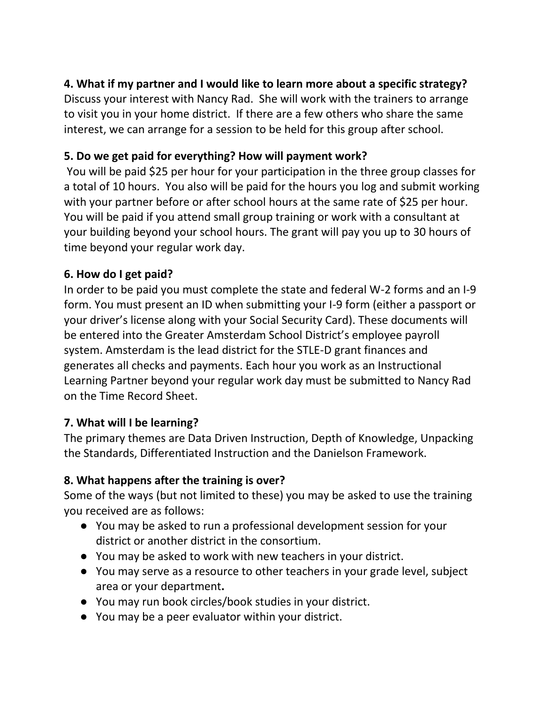# **4. What if my partner and I would like to learn more about a specific strategy?**

Discuss your interest with Nancy Rad. She will work with the trainers to arrange to visit you in your home district. If there are a few others who share the same interest, we can arrange for a session to be held for this group after school.

# **5. Do we get paid for everything? How will payment work?**

You will be paid \$25 per hour for your participation in the three group classes for a total of 10 hours. You also will be paid for the hours you log and submit working with your partner before or after school hours at the same rate of \$25 per hour. You will be paid if you attend small group training or work with a consultant at your building beyond your school hours. The grant will pay you up to 30 hours of time beyond your regular work day.

# **6. How do I get paid?**

In order to be paid you must complete the state and federal W-2 forms and an I-9 form. You must present an ID when submitting your I-9 form (either a passport or your driver's license along with your Social Security Card). These documents will be entered into the Greater Amsterdam School District's employee payroll system. Amsterdam is the lead district for the STLE-D grant finances and generates all checks and payments. Each hour you work as an Instructional Learning Partner beyond your regular work day must be submitted to Nancy Rad on the Time Record Sheet.

# **7. What will I be learning?**

The primary themes are Data Driven Instruction, Depth of Knowledge, Unpacking the Standards, Differentiated Instruction and the Danielson Framework.

# **8. What happens after the training is over?**

Some of the ways (but not limited to these) you may be asked to use the training you received are as follows:

- You may be asked to run a professional development session for your district or another district in the consortium.
- You may be asked to work with new teachers in your district.
- You may serve as a resource to other teachers in your grade level, subject area or your department**.**
- You may run book circles/book studies in your district.
- You may be a peer evaluator within your district.